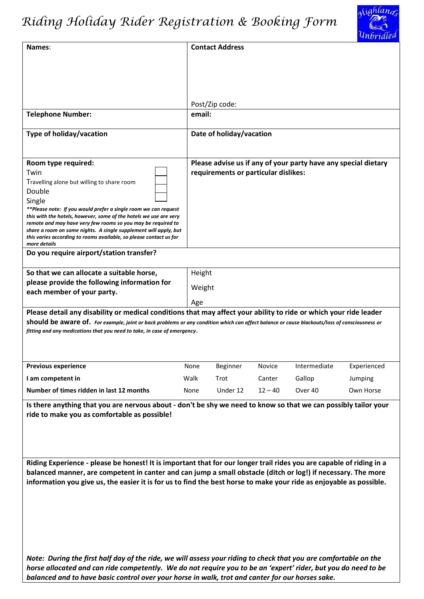## *Riding Holiday Rider Registration & Booking Form*



|                                                                                                                                                                                                                           |        |                                      |           |                                                                | $\sim$ . $\omega$ |
|---------------------------------------------------------------------------------------------------------------------------------------------------------------------------------------------------------------------------|--------|--------------------------------------|-----------|----------------------------------------------------------------|-------------------|
| Names:                                                                                                                                                                                                                    |        | <b>Contact Address</b>               |           |                                                                |                   |
|                                                                                                                                                                                                                           |        |                                      |           |                                                                |                   |
|                                                                                                                                                                                                                           |        |                                      |           |                                                                |                   |
|                                                                                                                                                                                                                           |        |                                      |           |                                                                |                   |
|                                                                                                                                                                                                                           |        | Post/Zip code:                       |           |                                                                |                   |
| <b>Telephone Number:</b>                                                                                                                                                                                                  | email: |                                      |           |                                                                |                   |
| Type of holiday/vacation                                                                                                                                                                                                  |        | Date of holiday/vacation             |           |                                                                |                   |
| Room type required:                                                                                                                                                                                                       |        |                                      |           | Please advise us if any of your party have any special dietary |                   |
| Twin                                                                                                                                                                                                                      |        | requirements or particular dislikes: |           |                                                                |                   |
| Travelling alone but willing to share room                                                                                                                                                                                |        |                                      |           |                                                                |                   |
| Double                                                                                                                                                                                                                    |        |                                      |           |                                                                |                   |
| Single<br>**Please note: If you would prefer a single room we can request                                                                                                                                                 |        |                                      |           |                                                                |                   |
| this with the hotels, however, some of the hotels we use are very                                                                                                                                                         |        |                                      |           |                                                                |                   |
| remote and may have very few rooms so you may be required to<br>share a room on some nights. A single supplement will apply, but                                                                                          |        |                                      |           |                                                                |                   |
| this varies according to rooms available, so please contact us for<br>more details                                                                                                                                        |        |                                      |           |                                                                |                   |
| Do you require airport/station transfer?                                                                                                                                                                                  |        |                                      |           |                                                                |                   |
| So that we can allocate a suitable horse,                                                                                                                                                                                 | Height |                                      |           |                                                                |                   |
| please provide the following information for                                                                                                                                                                              |        |                                      |           |                                                                |                   |
| each member of your party.                                                                                                                                                                                                | Weight |                                      |           |                                                                |                   |
|                                                                                                                                                                                                                           | Age    |                                      |           |                                                                |                   |
| Please detail any disability or medical conditions that may affect your ability to ride or which your ride leader                                                                                                         |        |                                      |           |                                                                |                   |
| should be aware of. For example, joint or back problems or any condition which can affect balance or cause blackouts/loss of consciousness or<br>fitting and any medications that you need to take, in case of emergency. |        |                                      |           |                                                                |                   |
|                                                                                                                                                                                                                           |        |                                      |           |                                                                |                   |
|                                                                                                                                                                                                                           |        |                                      |           |                                                                |                   |
| <b>Previous experience</b>                                                                                                                                                                                                | None   | Beginner                             | Novice    | Intermediate                                                   | Experienced       |
| I am competent in                                                                                                                                                                                                         | Walk   | Trot                                 | Canter    | Gallop                                                         | Jumping           |
| Number of times ridden in last 12 months                                                                                                                                                                                  | None   | Under 12                             | $12 - 40$ | Over 40                                                        | Own Horse         |
| Is there anything that you are nervous about - don't be shy we need to know so that we can possibly tailor your                                                                                                           |        |                                      |           |                                                                |                   |
| ride to make you as comfortable as possible!                                                                                                                                                                              |        |                                      |           |                                                                |                   |
|                                                                                                                                                                                                                           |        |                                      |           |                                                                |                   |
|                                                                                                                                                                                                                           |        |                                      |           |                                                                |                   |
|                                                                                                                                                                                                                           |        |                                      |           |                                                                |                   |
| Riding Experience - please be honest! It is important that for our longer trail rides you are capable of riding in a                                                                                                      |        |                                      |           |                                                                |                   |
| balanced manner, are competent in canter and can jump a small obstacle (ditch or log!) if necessary. The more                                                                                                             |        |                                      |           |                                                                |                   |
| information you give us, the easier it is for us to find the best horse to make your ride as enjoyable as possible.                                                                                                       |        |                                      |           |                                                                |                   |
|                                                                                                                                                                                                                           |        |                                      |           |                                                                |                   |
|                                                                                                                                                                                                                           |        |                                      |           |                                                                |                   |
|                                                                                                                                                                                                                           |        |                                      |           |                                                                |                   |
|                                                                                                                                                                                                                           |        |                                      |           |                                                                |                   |
|                                                                                                                                                                                                                           |        |                                      |           |                                                                |                   |
|                                                                                                                                                                                                                           |        |                                      |           |                                                                |                   |
| Note: During the first half day of the ride, we will assess your riding to check that you are comfortable on the                                                                                                          |        |                                      |           |                                                                |                   |
| horse allocated and can ride competently. We do not require you to be an 'expert' rider, but you do need to be                                                                                                            |        |                                      |           |                                                                |                   |
| balanced and to have basic control over your horse in walk, trot and canter for our horses sake.                                                                                                                          |        |                                      |           |                                                                |                   |